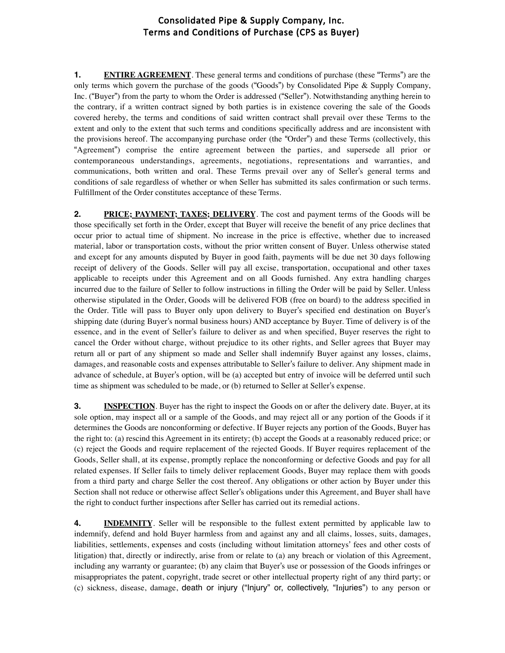## Consolidated Pipe & Supply Company, Inc. Terms and Conditions of Purchase (CPS as Buyer)

**1. ENTIRE AGREEMENT**. These general terms and conditions of purchase (these "Terms") are the only terms which govern the purchase of the goods ("Goods") by Consolidated Pipe & Supply Company, Inc. ("Buyer") from the party to whom the Order is addressed ("Seller"). Notwithstanding anything herein to the contrary, if a written contract signed by both parties is in existence covering the sale of the Goods covered hereby, the terms and conditions of said written contract shall prevail over these Terms to the extent and only to the extent that such terms and conditions specifically address and are inconsistent with the provisions hereof. The accompanying purchase order (the "Order") and these Terms (collectively, this "Agreement") comprise the entire agreement between the parties, and supersede all prior or contemporaneous understandings, agreements, negotiations, representations and warranties, and communications, both written and oral. These Terms prevail over any of Seller's general terms and conditions of sale regardless of whether or when Seller has submitted its sales confirmation or such terms. Fulfillment of the Order constitutes acceptance of these Terms.

**2. PRICE; PAYMENT; TAXES; DELIVERY**. The cost and payment terms of the Goods will be those specifically set forth in the Order, except that Buyer will receive the benefit of any price declines that occur prior to actual time of shipment. No increase in the price is effective, whether due to increased material, labor or transportation costs, without the prior written consent of Buyer. Unless otherwise stated and except for any amounts disputed by Buyer in good faith, payments will be due net 30 days following receipt of delivery of the Goods. Seller will pay all excise, transportation, occupational and other taxes applicable to receipts under this Agreement and on all Goods furnished. Any extra handling charges incurred due to the failure of Seller to follow instructions in filling the Order will be paid by Seller. Unless otherwise stipulated in the Order, Goods will be delivered FOB (free on board) to the address specified in the Order. Title will pass to Buyer only upon delivery to Buyer's specified end destination on Buyer's shipping date (during Buyer's normal business hours) AND acceptance by Buyer. Time of delivery is of the essence, and in the event of Seller's failure to deliver as and when specified, Buyer reserves the right to cancel the Order without charge, without prejudice to its other rights, and Seller agrees that Buyer may return all or part of any shipment so made and Seller shall indemnify Buyer against any losses, claims, damages, and reasonable costs and expenses attributable to Seller's failure to deliver. Any shipment made in advance of schedule, at Buyer's option, will be (a) accepted but entry of invoice will be deferred until such time as shipment was scheduled to be made, or (b) returned to Seller at Seller's expense.

**3. INSPECTION**. Buyer has the right to inspect the Goods on or after the delivery date. Buyer, at its sole option, may inspect all or a sample of the Goods, and may reject all or any portion of the Goods if it determines the Goods are nonconforming or defective. If Buyer rejects any portion of the Goods, Buyer has the right to: (a) rescind this Agreement in its entirety; (b) accept the Goods at a reasonably reduced price; or (c) reject the Goods and require replacement of the rejected Goods. If Buyer requires replacement of the Goods, Seller shall, at its expense, promptly replace the nonconforming or defective Goods and pay for all related expenses. If Seller fails to timely deliver replacement Goods, Buyer may replace them with goods from a third party and charge Seller the cost thereof. Any obligations or other action by Buyer under this Section shall not reduce or otherwise affect Seller's obligations under this Agreement, and Buyer shall have the right to conduct further inspections after Seller has carried out its remedial actions.

**4. INDEMNITY**. Seller will be responsible to the fullest extent permitted by applicable law to indemnify, defend and hold Buyer harmless from and against any and all claims, losses, suits, damages, liabilities, settlements, expenses and costs (including without limitation attorneys' fees and other costs of litigation) that, directly or indirectly, arise from or relate to (a) any breach or violation of this Agreement, including any warranty or guarantee; (b) any claim that Buyer's use or possession of the Goods infringes or misappropriates the patent, copyright, trade secret or other intellectual property right of any third party; or (c) sickness, disease, damage, death or injury ("Injury" or, collectively, "Injuries") to any person or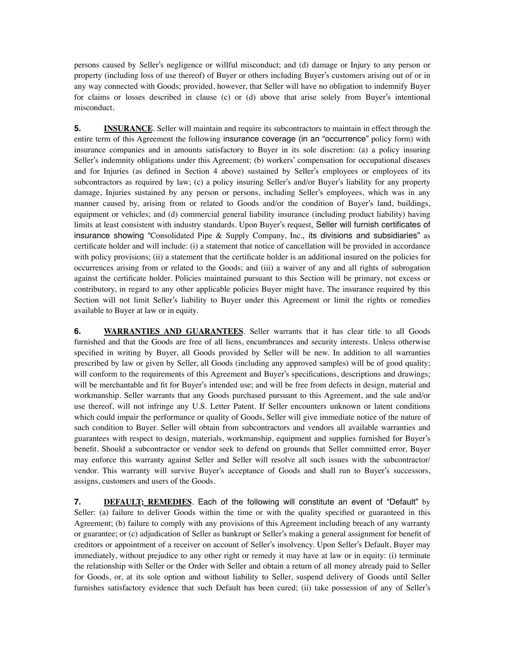persons caused by Seller's negligence or willful misconduct; and (d) damage or Injury to any person or property (including loss of use thereof) of Buyer or others including Buyer's customers arising out of or in any way connected with Goods; provided, however, that Seller will have no obligation to indemnify Buyer for claims or losses described in clause (c) or (d) above that arise solely from Buyer's intentional misconduct.

**5. INSURANCE**. Seller will maintain and require its subcontractors to maintain in effect through the entire term of this Agreement the following insurance coverage (in an "occurrence" policy form) with insurance companies and in amounts satisfactory to Buyer in its sole discretion: (a) a policy insuring Seller's indemnity obligations under this Agreement; (b) workers' compensation for occupational diseases and for Injuries (as defined in Section 4 above) sustained by Seller's employees or employees of its subcontractors as required by law; (c) a policy insuring Seller's and/or Buyer's liability for any property damage, Injuries sustained by any person or persons, including Seller's employees, which was in any manner caused by, arising from or related to Goods and/or the condition of Buyer's land, buildings, equipment or vehicles; and (d) commercial general liability insurance (including product liability) having limits at least consistent with industry standards. Upon Buyer's request, Seller will furnish certificates of insurance showing "Consolidated Pipe & Supply Company, Inc., its divisions and subsidiaries" as certificate holder and will include: (i) a statement that notice of cancellation will be provided in accordance with policy provisions; (ii) a statement that the certificate holder is an additional insured on the policies for occurrences arising from or related to the Goods; and (iii) a waiver of any and all rights of subrogation against the certificate holder. Policies maintained pursuant to this Section will be primary, not excess or contributory, in regard to any other applicable policies Buyer might have. The insurance required by this Section will not limit Seller's liability to Buyer under this Agreement or limit the rights or remedies available to Buyer at law or in equity.

**6. WARRANTIES AND GUARANTEES**. Seller warrants that it has clear title to all Goods furnished and that the Goods are free of all liens, encumbrances and security interests. Unless otherwise specified in writing by Buyer, all Goods provided by Seller will be new. In addition to all warranties prescribed by law or given by Seller, all Goods (including any approved samples) will be of good quality; will conform to the requirements of this Agreement and Buyer's specifications, descriptions and drawings; will be merchantable and fit for Buyer's intended use; and will be free from defects in design, material and workmanship. Seller warrants that any Goods purchased pursuant to this Agreement, and the sale and/or use thereof, will not infringe any U.S. Letter Patent. If Seller encounters unknown or latent conditions which could impair the performance or quality of Goods, Seller will give immediate notice of the nature of such condition to Buyer. Seller will obtain from subcontractors and vendors all available warranties and guarantees with respect to design, materials, workmanship, equipment and supplies furnished for Buyer's benefit. Should a subcontractor or vendor seek to defend on grounds that Seller committed error, Buyer may enforce this warranty against Seller and Seller will resolve all such issues with the subcontractor/ vendor. This warranty will survive Buyer's acceptance of Goods and shall run to Buyer's successors, assigns, customers and users of the Goods.

**7. DEFAULT; REMEDIES**. Each of the following will constitute an event of "Default" by Seller: (a) failure to deliver Goods within the time or with the quality specified or guaranteed in this Agreement; (b) failure to comply with any provisions of this Agreement including breach of any warranty or guarantee; or (c) adjudication of Seller as bankrupt or Seller's making a general assignment for benefit of creditors or appointment of a receiver on account of Seller's insolvency. Upon Seller's Default, Buyer may immediately, without prejudice to any other right or remedy it may have at law or in equity: (i) terminate the relationship with Seller or the Order with Seller and obtain a return of all money already paid to Seller for Goods, or, at its sole option and without liability to Seller, suspend delivery of Goods until Seller furnishes satisfactory evidence that such Default has been cured; (ii) take possession of any of Seller's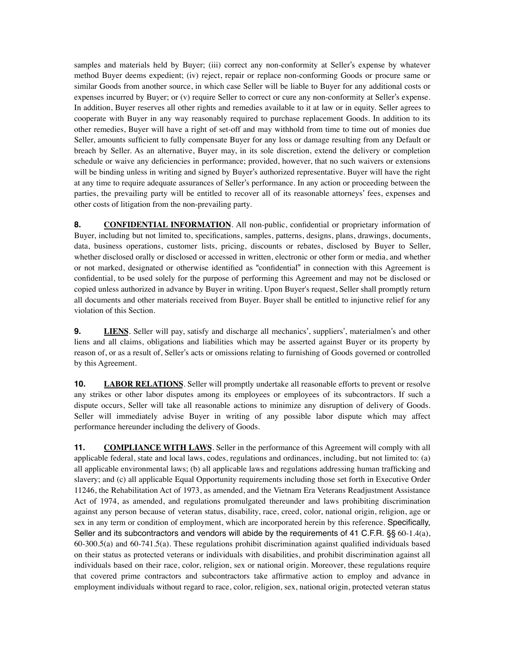samples and materials held by Buyer; (iii) correct any non-conformity at Seller's expense by whatever method Buyer deems expedient; (iv) reject, repair or replace non-conforming Goods or procure same or similar Goods from another source, in which case Seller will be liable to Buyer for any additional costs or expenses incurred by Buyer; or (v) require Seller to correct or cure any non-conformity at Seller's expense. In addition, Buyer reserves all other rights and remedies available to it at law or in equity. Seller agrees to cooperate with Buyer in any way reasonably required to purchase replacement Goods. In addition to its other remedies, Buyer will have a right of set-off and may withhold from time to time out of monies due Seller, amounts sufficient to fully compensate Buyer for any loss or damage resulting from any Default or breach by Seller. As an alternative, Buyer may, in its sole discretion, extend the delivery or completion schedule or waive any deficiencies in performance; provided, however, that no such waivers or extensions will be binding unless in writing and signed by Buyer's authorized representative. Buyer will have the right at any time to require adequate assurances of Seller's performance. In any action or proceeding between the parties, the prevailing party will be entitled to recover all of its reasonable attorneys' fees, expenses and other costs of litigation from the non-prevailing party.

**8. CONFIDENTIAL INFORMATION**. All non-public, confidential or proprietary information of Buyer, including but not limited to, specifications, samples, patterns, designs, plans, drawings, documents, data, business operations, customer lists, pricing, discounts or rebates, disclosed by Buyer to Seller, whether disclosed orally or disclosed or accessed in written, electronic or other form or media, and whether or not marked, designated or otherwise identified as "confidential" in connection with this Agreement is confidential, to be used solely for the purpose of performing this Agreement and may not be disclosed or copied unless authorized in advance by Buyer in writing. Upon Buyer's request, Seller shall promptly return all documents and other materials received from Buyer. Buyer shall be entitled to injunctive relief for any violation of this Section.

**9. LIENS**. Seller will pay, satisfy and discharge all mechanics', suppliers', materialmen's and other liens and all claims, obligations and liabilities which may be asserted against Buyer or its property by reason of, or as a result of, Seller's acts or omissions relating to furnishing of Goods governed or controlled by this Agreement.

**10. LABOR RELATIONS**. Seller will promptly undertake all reasonable efforts to prevent or resolve any strikes or other labor disputes among its employees or employees of its subcontractors. If such a dispute occurs, Seller will take all reasonable actions to minimize any disruption of delivery of Goods. Seller will immediately advise Buyer in writing of any possible labor dispute which may affect performance hereunder including the delivery of Goods.

**11. COMPLIANCE WITH LAWS**. Seller in the performance of this Agreement will comply with all applicable federal, state and local laws, codes, regulations and ordinances, including, but not limited to: (a) all applicable environmental laws; (b) all applicable laws and regulations addressing human trafficking and slavery; and (c) all applicable Equal Opportunity requirements including those set forth in Executive Order 11246, the Rehabilitation Act of 1973, as amended, and the Vietnam Era Veterans Readjustment Assistance Act of 1974, as amended, and regulations promulgated thereunder and laws prohibiting discrimination against any person because of veteran status, disability, race, creed, color, national origin, religion, age or sex in any term or condition of employment, which are incorporated herein by this reference. Specifically, Seller and its subcontractors and vendors will abide by the requirements of 41 C.F.R. §§ 60-1.4(a), 60-300.5(a) and 60-741.5(a). These regulations prohibit discrimination against qualified individuals based on their status as protected veterans or individuals with disabilities, and prohibit discrimination against all individuals based on their race, color, religion, sex or national origin. Moreover, these regulations require that covered prime contractors and subcontractors take affirmative action to employ and advance in employment individuals without regard to race, color, religion, sex, national origin, protected veteran status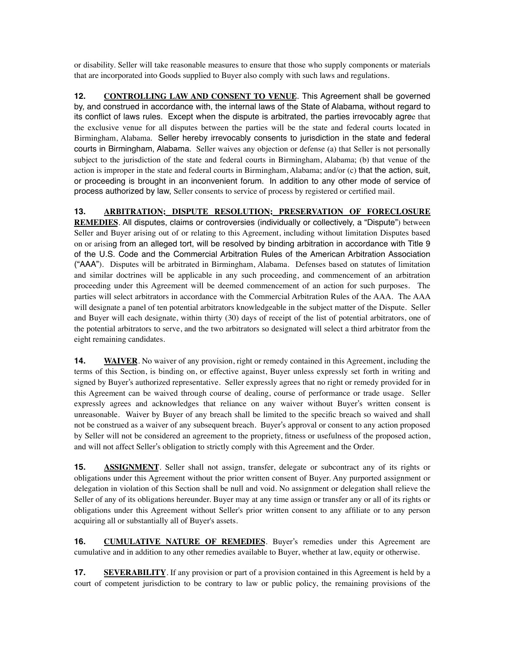or disability. Seller will take reasonable measures to ensure that those who supply components or materials that are incorporated into Goods supplied to Buyer also comply with such laws and regulations.

**12. CONTROLLING LAW AND CONSENT TO VENUE**. This Agreement shall be governed by, and construed in accordance with, the internal laws of the State of Alabama, without regard to its conflict of laws rules. Except when the dispute is arbitrated, the parties irrevocably agree that the exclusive venue for all disputes between the parties will be the state and federal courts located in Birmingham, Alabama. Seller hereby irrevocably consents to jurisdiction in the state and federal courts in Birmingham, Alabama. Seller waives any objection or defense (a) that Seller is not personally subject to the jurisdiction of the state and federal courts in Birmingham, Alabama; (b) that venue of the action is improper in the state and federal courts in Birmingham, Alabama; and/or (c) that the action, suit, or proceeding is brought in an inconvenient forum. In addition to any other mode of service of process authorized by law, Seller consents to service of process by registered or certified mail.

**13. ARBITRATION; DISPUTE RESOLUTION; PRESERVATION OF FORECLOSURE REMEDIES**. All disputes, claims or controversies (individually or collectively, a "Dispute") between Seller and Buyer arising out of or relating to this Agreement, including without limitation Disputes based on or arising from an alleged tort, will be resolved by binding arbitration in accordance with Title 9 of the U.S. Code and the Commercial Arbitration Rules of the American Arbitration Association ("AAA"). Disputes will be arbitrated in Birmingham, Alabama. Defenses based on statutes of limitation and similar doctrines will be applicable in any such proceeding, and commencement of an arbitration proceeding under this Agreement will be deemed commencement of an action for such purposes. The parties will select arbitrators in accordance with the Commercial Arbitration Rules of the AAA. The AAA will designate a panel of ten potential arbitrators knowledgeable in the subject matter of the Dispute. Seller and Buyer will each designate, within thirty (30) days of receipt of the list of potential arbitrators, one of the potential arbitrators to serve, and the two arbitrators so designated will select a third arbitrator from the eight remaining candidates.

**14. WAIVER**. No waiver of any provision, right or remedy contained in this Agreement, including the terms of this Section, is binding on, or effective against, Buyer unless expressly set forth in writing and signed by Buyer's authorized representative. Seller expressly agrees that no right or remedy provided for in this Agreement can be waived through course of dealing, course of performance or trade usage. Seller expressly agrees and acknowledges that reliance on any waiver without Buyer's written consent is unreasonable. Waiver by Buyer of any breach shall be limited to the specific breach so waived and shall not be construed as a waiver of any subsequent breach. Buyer's approval or consent to any action proposed by Seller will not be considered an agreement to the propriety, fitness or usefulness of the proposed action, and will not affect Seller's obligation to strictly comply with this Agreement and the Order.

**15. ASSIGNMENT**. Seller shall not assign, transfer, delegate or subcontract any of its rights or obligations under this Agreement without the prior written consent of Buyer. Any purported assignment or delegation in violation of this Section shall be null and void. No assignment or delegation shall relieve the Seller of any of its obligations hereunder. Buyer may at any time assign or transfer any or all of its rights or obligations under this Agreement without Seller's prior written consent to any affiliate or to any person acquiring all or substantially all of Buyer's assets.

**16. CUMULATIVE NATURE OF REMEDIES**. Buyer's remedies under this Agreement are cumulative and in addition to any other remedies available to Buyer, whether at law, equity or otherwise.

**17. SEVERABILITY**. If any provision or part of a provision contained in this Agreement is held by a court of competent jurisdiction to be contrary to law or public policy, the remaining provisions of the